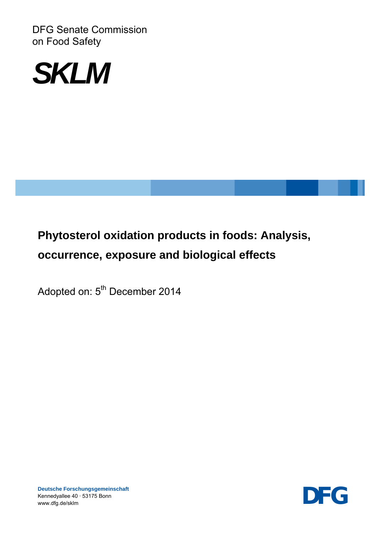DFG Senate Commission on Food Safety



# **Phytosterol oxidation products in foods: Analysis, occurrence, exposure and biological effects**

Adopted on: 5<sup>th</sup> December 2014

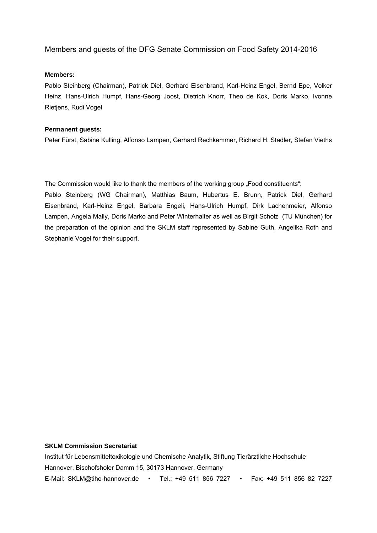#### Members and guests of the DFG Senate Commission on Food Safety 2014-2016

#### **Members:**

Pablo Steinberg (Chairman), Patrick Diel, Gerhard Eisenbrand, Karl-Heinz Engel, Bernd Epe, Volker Heinz, Hans-Ulrich Humpf, Hans-Georg Joost, Dietrich Knorr, Theo de Kok, Doris Marko, Ivonne Rietjens, Rudi Vogel

#### **Permanent guests:**

Peter Fürst, Sabine Kulling, Alfonso Lampen, Gerhard Rechkemmer, Richard H. Stadler, Stefan Vieths

The Commission would like to thank the members of the working group . Food constituents":

Pablo Steinberg (WG Chairman), Matthias Baum, Hubertus E. Brunn, Patrick Diel, Gerhard Eisenbrand, Karl-Heinz Engel, Barbara Engeli, Hans-Ulrich Humpf, Dirk Lachenmeier, Alfonso Lampen, Angela Mally, Doris Marko and Peter Winterhalter as well as Birgit Scholz (TU München) for the preparation of the opinion and the SKLM staff represented by Sabine Guth, Angelika Roth and Stephanie Vogel for their support.

#### **SKLM Commission Secretariat**

Institut für Lebensmitteltoxikologie und Chemische Analytik, Stiftung Tierärztliche Hochschule Hannover, Bischofsholer Damm 15, 30173 Hannover, Germany E-Mail: SKLM@tiho-hannover.de • Tel.: +49 511 856 7227 • Fax: +49 511 856 82 7227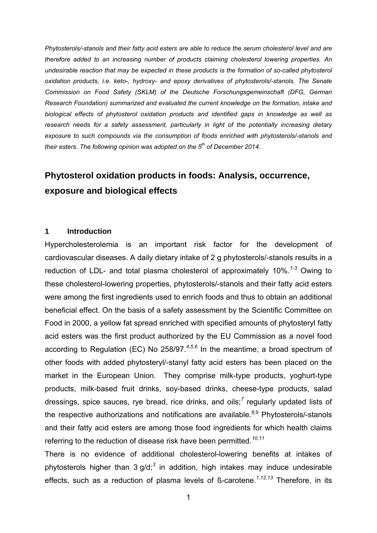*Phytosterols/-stanols and their fatty acid esters are able to reduce the serum cholesterol level and are therefore added to an increasing number of products claiming cholesterol lowering properties. An undesirable reaction that may be expected in these products is the formation of so-called phytosterol oxidation products, i.e. keto-, hydroxy- and epoxy derivatives of phytosterols/-stanols. The Senate Commission on Food Safety (SKLM) of the Deutsche Forschungsgemeinschaft (DFG, German Research Foundation) summarized and evaluated the current knowledge on the formation, intake and biological effects of phytosterol oxidation products and identified gaps in knowledge as well as research needs for a safety assessment, particularly in light of the potentially increasing dietary exposure to such compounds via the consumption of foods enriched with phytosterols/-stanols and their esters. The following opinion was adopted on the 5th of December 2014.*

# **Phytosterol oxidation products in foods: Analysis, occurrence, exposure and biological effects**

#### **1 Introduction**

Hypercholesterolemia is an important risk factor for the development of cardiovascular diseases. A daily dietary intake of 2 g phytosterols/-stanols results in a reduction of LDL- and total plasma cholesterol of approximately 10%.*1-3* Owing to these cholesterol-lowering properties, phytosterols/-stanols and their fatty acid esters were among the first ingredients used to enrich foods and thus to obtain an additional beneficial effect. On the basis of a safety assessment by the Scientific Committee on Food in 2000, a yellow fat spread enriched with specified amounts of phytosteryl fatty acid esters was the first product authorized by the EU Commission as a novel food according to Regulation (EC) No 258/97.*<sup>4</sup>*,*5,6* In the meantime, a broad spectrum of other foods with added phytosteryl/-stanyl fatty acid esters has been placed on the market in the European Union. They comprise milk-type products, yoghurt-type products, milk-based fruit drinks, soy-based drinks, cheese-type products, salad dressings, spice sauces, rye bread, rice drinks, and oils;<sup>7</sup> regularly updated lists of the respective authorizations and notifications are available.*<sup>8</sup>*,9 Phytosterols/-stanols and their fatty acid esters are among those food ingredients for which health claims referring to the reduction of disease risk have been permitted.*<sup>10</sup>*,*<sup>11</sup>*

There is no evidence of additional cholesterol-lowering benefits at intakes of phytosterols higher than 3 g/d;*<sup>3</sup>* in addition, high intakes may induce undesirable effects, such as a reduction of plasma levels of ß-carotene.*1,12,13* Therefore, in its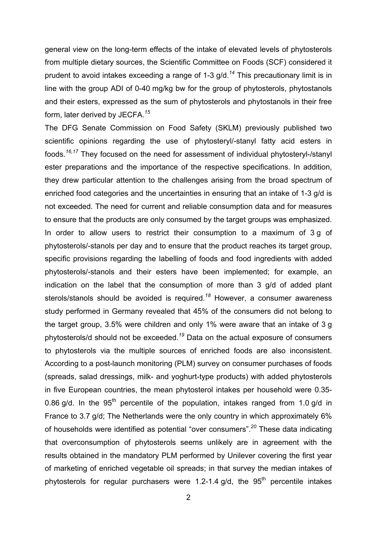general view on the long-term effects of the intake of elevated levels of phytosterols from multiple dietary sources, the Scientific Committee on Foods (SCF) considered it prudent to avoid intakes exceeding a range of 1-3 g/d.*<sup>14</sup>* This precautionary limit is in line with the group ADI of 0-40 mg/kg bw for the group of phytosterols, phytostanols and their esters, expressed as the sum of phytosterols and phytostanols in their free form, later derived by JECFA.*<sup>15</sup>*

The DFG Senate Commission on Food Safety (SKLM) previously published two scientific opinions regarding the use of phytosteryl/-stanyl fatty acid esters in foods.*16,17* They focused on the need for assessment of individual phytosteryl-/stanyl ester preparations and the importance of the respective specifications. In addition, they drew particular attention to the challenges arising from the broad spectrum of enriched food categories and the uncertainties in ensuring that an intake of 1-3 g/d is not exceeded. The need for current and reliable consumption data and for measures to ensure that the products are only consumed by the target groups was emphasized. In order to allow users to restrict their consumption to a maximum of 3 g of phytosterols/-stanols per day and to ensure that the product reaches its target group, specific provisions regarding the labelling of foods and food ingredients with added phytosterols/-stanols and their esters have been implemented; for example, an indication on the label that the consumption of more than 3 g/d of added plant sterols/stanols should be avoided is required.*<sup>18</sup>* However, a consumer awareness study performed in Germany revealed that 45% of the consumers did not belong to the target group, 3.5% were children and only 1% were aware that an intake of 3 g phytosterols/d should not be exceeded.*<sup>19</sup>* Data on the actual exposure of consumers to phytosterols via the multiple sources of enriched foods are also inconsistent. According to a post-launch monitoring (PLM) survey on consumer purchases of foods (spreads, salad dressings, milk- and yoghurt-type products) with added phytosterols in five European countries, the mean phytosterol intakes per household were 0.35- 0.86 g/d. In the  $95<sup>th</sup>$  percentile of the population, intakes ranged from 1.0 g/d in France to 3.7 g/d; The Netherlands were the only country in which approximately 6% of households were identified as potential "over consumers".*<sup>20</sup>* These data indicating that overconsumption of phytosterols seems unlikely are in agreement with the results obtained in the mandatory PLM performed by Unilever covering the first year of marketing of enriched vegetable oil spreads; in that survey the median intakes of phytosterols for regular purchasers were 1.2-1.4  $q/d$ , the 95<sup>th</sup> percentile intakes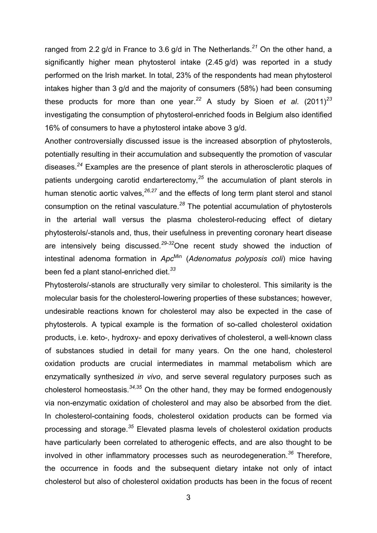ranged from 2.2 g/d in France to 3.6 g/d in The Netherlands.*<sup>21</sup>* On the other hand, a significantly higher mean phytosterol intake (2.45 g/d) was reported in a study performed on the Irish market. In total, 23% of the respondents had mean phytosterol intakes higher than 3 g/d and the majority of consumers (58%) had been consuming these products for more than one year.<sup>22</sup> A study by Sioen *et al.* (2011)<sup>23</sup> investigating the consumption of phytosterol-enriched foods in Belgium also identified 16% of consumers to have a phytosterol intake above 3 g/d.

Another controversially discussed issue is the increased absorption of phytosterols, potentially resulting in their accumulation and subsequently the promotion of vascular diseases.*<sup>24</sup>* Examples are the presence of plant sterols in atherosclerotic plaques of patients undergoing carotid endarterectomy,*<sup>25</sup>* the accumulation of plant sterols in human stenotic aortic valves,*26,27* and the effects of long term plant sterol and stanol consumption on the retinal vasculature.*<sup>28</sup>* The potential accumulation of phytosterols in the arterial wall versus the plasma cholesterol-reducing effect of dietary phytosterols/-stanols and, thus, their usefulness in preventing coronary heart disease are intensively being discussed.*29-32*One recent study showed the induction of intestinal adenoma formation in *Apc*Min (*Adenomatus polyposis coli*) mice having been fed a plant stanol-enriched diet.*<sup>33</sup>*

Phytosterols/-stanols are structurally very similar to cholesterol. This similarity is the molecular basis for the cholesterol-lowering properties of these substances; however, undesirable reactions known for cholesterol may also be expected in the case of phytosterols. A typical example is the formation of so-called cholesterol oxidation products, i.e. keto-, hydroxy- and epoxy derivatives of cholesterol, a well-known class of substances studied in detail for many years. On the one hand, cholesterol oxidation products are crucial intermediates in mammal metabolism which are enzymatically synthesized *in vivo*, and serve several regulatory purposes such as cholesterol homeostasis.*34,35* On the other hand, they may be formed endogenously via non-enzymatic oxidation of cholesterol and may also be absorbed from the diet. In cholesterol-containing foods, cholesterol oxidation products can be formed via processing and storage.*<sup>35</sup>* Elevated plasma levels of cholesterol oxidation products have particularly been correlated to atherogenic effects, and are also thought to be involved in other inflammatory processes such as neurodegeneration.*<sup>36</sup>* Therefore, the occurrence in foods and the subsequent dietary intake not only of intact cholesterol but also of cholesterol oxidation products has been in the focus of recent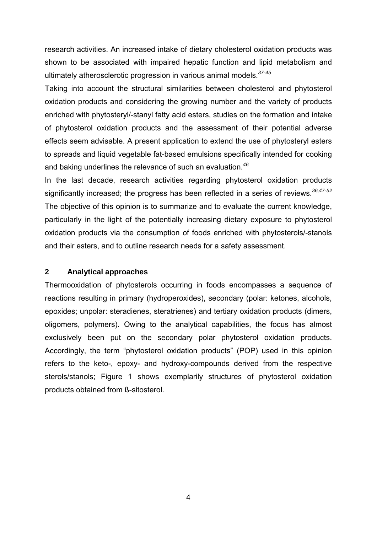research activities. An increased intake of dietary cholesterol oxidation products was shown to be associated with impaired hepatic function and lipid metabolism and ultimately atherosclerotic progression in various animal models.*37-45*

Taking into account the structural similarities between cholesterol and phytosterol oxidation products and considering the growing number and the variety of products enriched with phytosteryl/-stanyl fatty acid esters, studies on the formation and intake of phytosterol oxidation products and the assessment of their potential adverse effects seem advisable. A present application to extend the use of phytosteryl esters to spreads and liquid vegetable fat-based emulsions specifically intended for cooking and baking underlines the relevance of such an evaluation.*<sup>46</sup>*

In the last decade, research activities regarding phytosterol oxidation products significantly increased; the progress has been reflected in a series of reviews.*36,47-52* The objective of this opinion is to summarize and to evaluate the current knowledge, particularly in the light of the potentially increasing dietary exposure to phytosterol oxidation products via the consumption of foods enriched with phytosterols/-stanols and their esters, and to outline research needs for a safety assessment.

#### **2 Analytical approaches**

Thermooxidation of phytosterols occurring in foods encompasses a sequence of reactions resulting in primary (hydroperoxides), secondary (polar: ketones, alcohols, epoxides; unpolar: steradienes, steratrienes) and tertiary oxidation products (dimers, oligomers, polymers). Owing to the analytical capabilities, the focus has almost exclusively been put on the secondary polar phytosterol oxidation products. Accordingly, the term "phytosterol oxidation products" (POP) used in this opinion refers to the keto-, epoxy- and hydroxy-compounds derived from the respective sterols/stanols; Figure 1 shows exemplarily structures of phytosterol oxidation products obtained from ß-sitosterol.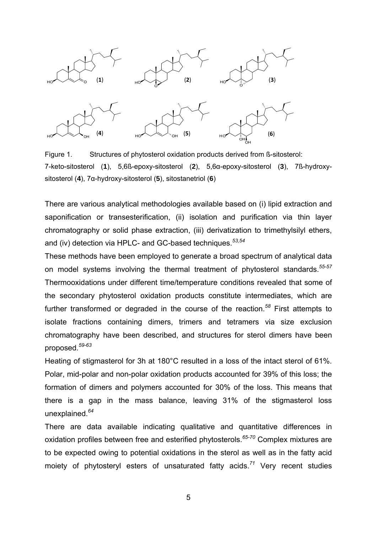

Figure 1. Structures of phytosterol oxidation products derived from ß-sitosterol: 7-keto-sitosterol (**1**), 5,6ß-epoxy-sitosterol (**2**), 5,6α-epoxy-sitosterol (**3**), 7ß-hydroxysitosterol (**4**), 7α-hydroxy-sitosterol (**5**), sitostanetriol (**6**)

There are various analytical methodologies available based on (i) lipid extraction and saponification or transesterification, (ii) isolation and purification via thin layer chromatography or solid phase extraction, (iii) derivatization to trimethylsilyl ethers, and (iv) detection via HPLC- and GC-based techniques.*53,54*

These methods have been employed to generate a broad spectrum of analytical data on model systems involving the thermal treatment of phytosterol standards.*55-57* Thermooxidations under different time/temperature conditions revealed that some of the secondary phytosterol oxidation products constitute intermediates, which are further transformed or degraded in the course of the reaction.*<sup>58</sup>* First attempts to isolate fractions containing dimers, trimers and tetramers via size exclusion chromatography have been described, and structures for sterol dimers have been proposed.*59-63*

Heating of stigmasterol for 3h at 180°C resulted in a loss of the intact sterol of 61%. Polar, mid-polar and non-polar oxidation products accounted for 39% of this loss; the formation of dimers and polymers accounted for 30% of the loss. This means that there is a gap in the mass balance, leaving 31% of the stigmasterol loss unexplained.*<sup>64</sup>*

There are data available indicating qualitative and quantitative differences in oxidation profiles between free and esterified phytosterols.*65-70* Complex mixtures are to be expected owing to potential oxidations in the sterol as well as in the fatty acid moiety of phytosteryl esters of unsaturated fatty acids.*<sup>71</sup>* Very recent studies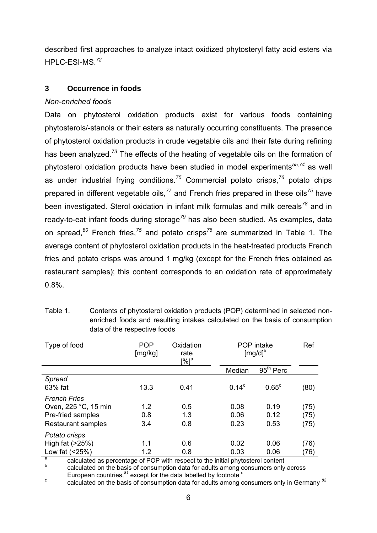described first approaches to analyze intact oxidized phytosteryl fatty acid esters via HPLC-ESI-MS.*<sup>72</sup>*

# **3 Occurrence in foods**

## *Non-enriched foods*

Data on phytosterol oxidation products exist for various foods containing phytosterols/-stanols or their esters as naturally occurring constituents. The presence of phytosterol oxidation products in crude vegetable oils and their fate during refining has been analyzed.*<sup>73</sup>* The effects of the heating of vegetable oils on the formation of phytosterol oxidation products have been studied in model experiments*55,74* as well as under industrial frying conditions.*<sup>75</sup>* Commercial potato crisps,*<sup>76</sup>* potato chips prepared in different vegetable oils,*<sup>77</sup>* and French fries prepared in these oils*<sup>75</sup>* have been investigated. Sterol oxidation in infant milk formulas and milk cereals*<sup>78</sup>* and in ready-to-eat infant foods during storage*<sup>79</sup>* has also been studied. As examples, data on spread,*<sup>80</sup>* French fries,*<sup>75</sup>* and potato crisps*<sup>76</sup>* are summarized in Table 1. The average content of phytosterol oxidation products in the heat-treated products French fries and potato crisps was around 1 mg/kg (except for the French fries obtained as restaurant samples); this content corresponds to an oxidation rate of approximately 0.8%.

| Type of food              | <b>POP</b><br>[mg/kg] | Oxidation<br>rate<br>[%] <sup>a</sup> |          | POP intake<br>$[mg/d]^b$ |      |
|---------------------------|-----------------------|---------------------------------------|----------|--------------------------|------|
|                           |                       |                                       | Median   | 95 <sup>th</sup> Perc    |      |
| Spread                    |                       |                                       |          |                          |      |
| 63% fat                   | 13.3                  | 0.41                                  | $0.14^c$ | $0.65^{\circ}$           | (80) |
| <b>French Fries</b>       |                       |                                       |          |                          |      |
| Oven, 225 °C, 15 min      | 1.2                   | 0.5                                   | 0.08     | 0.19                     | (75) |
| Pre-fried samples         | 0.8                   | 1.3                                   | 0.06     | 0.12                     | (75) |
| <b>Restaurant samples</b> | 3.4                   | 0.8                                   | 0.23     | 0.53                     | (75) |
| Potato crisps             |                       |                                       |          |                          |      |
| High fat (>25%)           | 1.1                   | 0.6                                   | 0.02     | 0.06                     | (76) |
| Low fat $( < 25\%)$       | 1.2                   | 0.8                                   | 0.03     | 0.06                     | (76) |

Table 1. Contents of phytosterol oxidation products (POP) determined in selected nonenriched foods and resulting intakes calculated on the basis of consumption data of the respective foods

a calculated as percentage of POP with respect to the initial phytosterol content

 calculated on the basis of consumption data for adults among consumers only across European countries,<sup>81</sup> except for the data labelled by footnote<sup>c</sup>

c calculated on the basis of consumption data for adults among consumers only in Germany *<sup>82</sup>*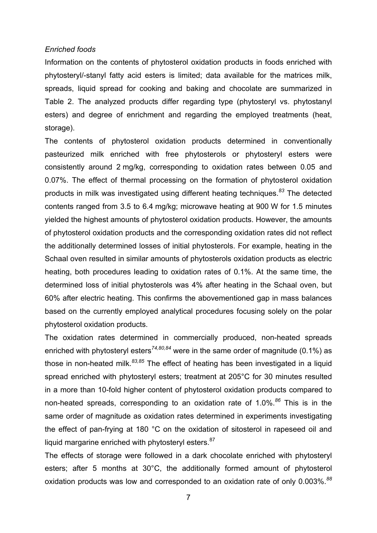#### *Enriched foods*

Information on the contents of phytosterol oxidation products in foods enriched with phytosteryl/-stanyl fatty acid esters is limited; data available for the matrices milk, spreads, liquid spread for cooking and baking and chocolate are summarized in Table 2. The analyzed products differ regarding type (phytosteryl vs. phytostanyl esters) and degree of enrichment and regarding the employed treatments (heat, storage).

The contents of phytosterol oxidation products determined in conventionally pasteurized milk enriched with free phytosterols or phytosteryl esters were consistently around 2 mg/kg, corresponding to oxidation rates between 0.05 and 0.07%. The effect of thermal processing on the formation of phytosterol oxidation products in milk was investigated using different heating techniques.*<sup>83</sup>* The detected contents ranged from 3.5 to 6.4 mg/kg; microwave heating at 900 W for 1.5 minutes yielded the highest amounts of phytosterol oxidation products. However, the amounts of phytosterol oxidation products and the corresponding oxidation rates did not reflect the additionally determined losses of initial phytosterols. For example, heating in the Schaal oven resulted in similar amounts of phytosterols oxidation products as electric heating, both procedures leading to oxidation rates of 0.1%. At the same time, the determined loss of initial phytosterols was 4% after heating in the Schaal oven, but 60% after electric heating. This confirms the abovementioned gap in mass balances based on the currently employed analytical procedures focusing solely on the polar phytosterol oxidation products.

The oxidation rates determined in commercially produced, non-heated spreads enriched with phytosteryl esters*74,80,84* were in the same order of magnitude (0.1%) as those in non-heated milk.*83,85* The effect of heating has been investigated in a liquid spread enriched with phytosteryl esters; treatment at 205°C for 30 minutes resulted in a more than 10-fold higher content of phytosterol oxidation products compared to non-heated spreads, corresponding to an oxidation rate of 1.0%.*<sup>86</sup>* This is in the same order of magnitude as oxidation rates determined in experiments investigating the effect of pan-frying at 180 °C on the oxidation of sitosterol in rapeseed oil and liquid margarine enriched with phytosteryl esters.<sup>87</sup>

The effects of storage were followed in a dark chocolate enriched with phytosteryl esters; after 5 months at 30°C, the additionally formed amount of phytosterol oxidation products was low and corresponded to an oxidation rate of only 0.003%.*<sup>88</sup>*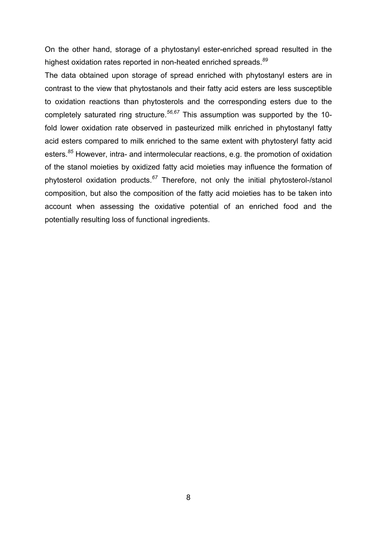On the other hand, storage of a phytostanyl ester-enriched spread resulted in the highest oxidation rates reported in non-heated enriched spreads.*<sup>89</sup>*

The data obtained upon storage of spread enriched with phytostanyl esters are in contrast to the view that phytostanols and their fatty acid esters are less susceptible to oxidation reactions than phytosterols and the corresponding esters due to the completely saturated ring structure.*56,67* This assumption was supported by the 10 fold lower oxidation rate observed in pasteurized milk enriched in phytostanyl fatty acid esters compared to milk enriched to the same extent with phytosteryl fatty acid esters.*<sup>85</sup>* However, intra- and intermolecular reactions, e.g. the promotion of oxidation of the stanol moieties by oxidized fatty acid moieties may influence the formation of phytosterol oxidation products.*<sup>67</sup>* Therefore, not only the initial phytosterol-/stanol composition, but also the composition of the fatty acid moieties has to be taken into account when assessing the oxidative potential of an enriched food and the potentially resulting loss of functional ingredients.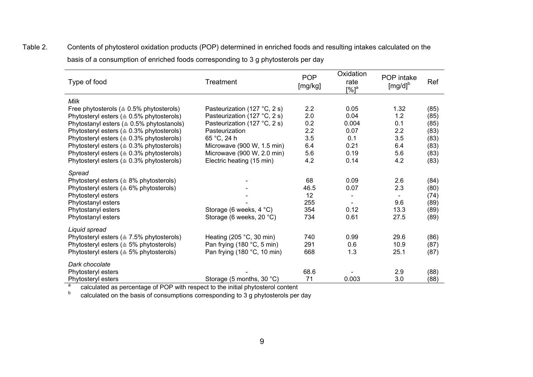| Type of food                                         | <b>POP</b><br>Treatment<br>[mg/kg] |      | Oxidation<br>rate<br>$[%]$ <sup>a</sup> | POP intake<br>$[mg/d]^b$ | Ref  |  |
|------------------------------------------------------|------------------------------------|------|-----------------------------------------|--------------------------|------|--|
| Milk                                                 |                                    |      |                                         |                          |      |  |
| Free phytosterols ( $\triangleq$ 0.5% phytosterols)  | Pasteurization (127 °C, 2 s)       | 2.2  | 0.05                                    | 1.32                     | (85) |  |
| Phytosteryl esters ( $\triangle 0.5\%$ phytosterols) | Pasteurization (127 °C, 2 s)       | 2.0  | 0.04                                    | 1.2                      | (85) |  |
| Phytostanyl esters ( $\triangleq$ 0.5% phytostanols) | Pasteurization (127 °C, 2 s)       | 0.2  | 0.004                                   | 0.1                      | (85) |  |
| Phytosteryl esters ( $\triangle 0.3\%$ phytosterols) | Pasteurization                     | 2.2  | 0.07                                    | 2.2                      | (83) |  |
| Phytosteryl esters ( $\triangle 0.3\%$ phytosterols) | 65 °C, 24 h                        | 3.5  | 0.1                                     | 3.5                      | (83) |  |
| Phytosteryl esters ( $\triangle 0.3\%$ phytosterols) | Microwave (900 W, 1.5 min)         | 6.4  | 0.21                                    | 6.4                      | (83) |  |
| Phytosteryl esters ( $\triangle$ 0.3% phytosterols)  | Microwave (900 W, 2.0 min)         | 5.6  | 0.19                                    | 5.6                      | (83) |  |
| Phytosteryl esters ( $\triangle 0.3\%$ phytosterols) | Electric heating (15 min)          | 4.2  | 0.14                                    | 4.2                      | (83) |  |
| Spread                                               |                                    |      |                                         |                          |      |  |
| Phytosteryl esters ( $\triangle$ 8% phytosterols)    |                                    | 68   | 0.09                                    | 2.6                      | (84) |  |
| Phytosteryl esters ( $\triangle$ 6% phytosterols)    |                                    | 46.5 | 0.07                                    | 2.3                      | (80) |  |
| Phytosteryl esters                                   |                                    | 12   |                                         |                          | (74) |  |
| Phytostanyl esters                                   |                                    | 255  |                                         | 9.6                      | (89) |  |
| Phytostanyl esters                                   | Storage (6 weeks, $4 °C$ )         | 354  | 0.12                                    | 13.3                     | (89) |  |
| Phytostanyl esters                                   | Storage (6 weeks, 20 °C)           | 734  | 0.61                                    | 27.5                     | (89) |  |
| Liquid spread                                        |                                    |      |                                         |                          |      |  |
| Phytosteryl esters ( $\triangle$ 7.5% phytosterols)  | Heating (205 $°C$ , 30 min)        | 740  | 0.99                                    | 29.6                     | (86) |  |
| Phytosteryl esters ( $\triangle$ 5% phytosterols)    | Pan frying (180 °C, 5 min)         | 291  | 0.6                                     | 10.9                     | (87) |  |
| Phytosteryl esters ( $\triangle$ 5% phytosterols)    | Pan frying $(180 °C, 10 min)$      | 668  | 1.3                                     | 25.1                     | (87) |  |
| Dark chocolate                                       |                                    |      |                                         |                          |      |  |
| Phytosteryl esters                                   |                                    | 68.6 |                                         | 2.9                      | (88) |  |
| Phytosteryl esters                                   | Storage (5 months, 30 °C)          | 71   | 0.003                                   | 3.0                      | (88) |  |

Table 2. Contents of phytosterol oxidation products (POP) determined in enriched foods and resulting intakes calculated on the basis of a consumption of enriched foods corresponding to 3 g phytosterols per day

> a<sup>a</sup> calculated as percentage of POP with respect to the initial phytosterol content

 b $^{\circ}$  calculated on the basis of consumptions corresponding to 3 g phytosterols per day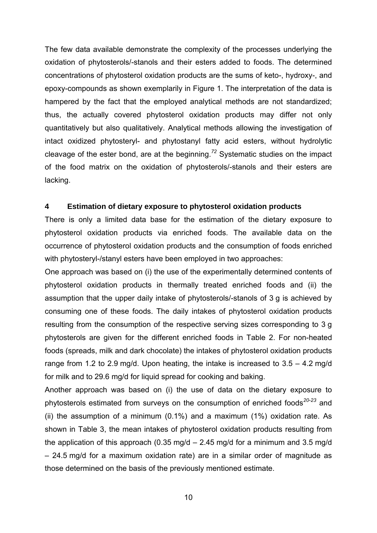The few data available demonstrate the complexity of the processes underlying the oxidation of phytosterols/-stanols and their esters added to foods. The determined concentrations of phytosterol oxidation products are the sums of keto-, hydroxy-, and epoxy-compounds as shown exemplarily in Figure 1. The interpretation of the data is hampered by the fact that the employed analytical methods are not standardized; thus, the actually covered phytosterol oxidation products may differ not only quantitatively but also qualitatively. Analytical methods allowing the investigation of intact oxidized phytosteryl- and phytostanyl fatty acid esters, without hydrolytic cleavage of the ester bond, are at the beginning.*<sup>72</sup>* Systematic studies on the impact of the food matrix on the oxidation of phytosterols/-stanols and their esters are lacking.

#### **4 Estimation of dietary exposure to phytosterol oxidation products**

There is only a limited data base for the estimation of the dietary exposure to phytosterol oxidation products via enriched foods. The available data on the occurrence of phytosterol oxidation products and the consumption of foods enriched with phytosteryl-/stanyl esters have been employed in two approaches:

One approach was based on (i) the use of the experimentally determined contents of phytosterol oxidation products in thermally treated enriched foods and (ii) the assumption that the upper daily intake of phytosterols/-stanols of 3 g is achieved by consuming one of these foods. The daily intakes of phytosterol oxidation products resulting from the consumption of the respective serving sizes corresponding to 3 g phytosterols are given for the different enriched foods in Table 2. For non-heated foods (spreads, milk and dark chocolate) the intakes of phytosterol oxidation products range from 1.2 to 2.9 mg/d. Upon heating, the intake is increased to  $3.5 - 4.2$  mg/d for milk and to 29.6 mg/d for liquid spread for cooking and baking.

Another approach was based on (i) the use of data on the dietary exposure to phytosterols estimated from surveys on the consumption of enriched foods*20-23* and (ii) the assumption of a minimum (0.1%) and a maximum (1%) oxidation rate. As shown in Table 3, the mean intakes of phytosterol oxidation products resulting from the application of this approach (0.35 mg/d  $-$  2.45 mg/d for a minimum and 3.5 mg/d – 24.5 mg/d for a maximum oxidation rate) are in a similar order of magnitude as those determined on the basis of the previously mentioned estimate.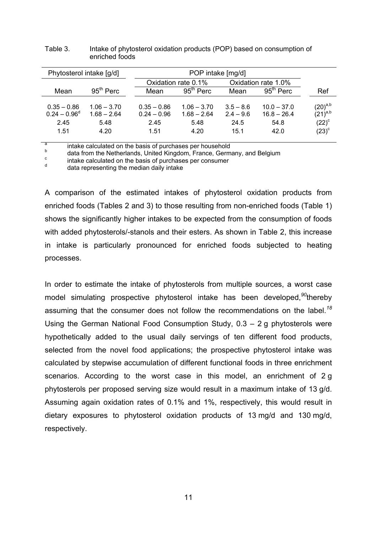| Phytosterol intake [g/d]                         |                                                | POP intake [mg/d]                              |                                                |                                            |                                                |                                                                     |
|--------------------------------------------------|------------------------------------------------|------------------------------------------------|------------------------------------------------|--------------------------------------------|------------------------------------------------|---------------------------------------------------------------------|
|                                                  |                                                | Oxidation rate 0.1%                            |                                                | Oxidation rate 1.0%                        |                                                |                                                                     |
| Mean                                             | $95th$ Perc                                    | Mean                                           | $95th$ Perc                                    | Mean                                       | $95th$ Perc                                    | Ref                                                                 |
| $0.35 - 0.86$<br>$0.24 - 0.96^d$<br>2.45<br>1.51 | $1.06 - 3.70$<br>$1.68 - 2.64$<br>5.48<br>4.20 | $0.35 - 0.86$<br>$0.24 - 0.96$<br>2.45<br>1.51 | $1.06 - 3.70$<br>$1.68 - 2.64$<br>5.48<br>4.20 | $3.5 - 8.6$<br>$2.4 - 9.6$<br>24.5<br>15.1 | $10.0 - 37.0$<br>$16.8 - 26.4$<br>54.8<br>42.0 | $\left(20\right)^{\rm a,b}$<br>$(21)^{a,b}$<br>$(22)^c$<br>$(23)^c$ |

Table 3. Intake of phytosterol oxidation products (POP) based on consumption of enriched foods

a intake calculated on the basis of purchases per household

 $\frac{b}{c}$  data from the Netherlands, United Kingdom, France, Germany, and Belgium

 $\frac{c}{d}$  intake calculated on the basis of purchases per consumer

data representing the median daily intake

A comparison of the estimated intakes of phytosterol oxidation products from enriched foods (Tables 2 and 3) to those resulting from non-enriched foods (Table 1) shows the significantly higher intakes to be expected from the consumption of foods with added phytosterols/-stanols and their esters. As shown in Table 2, this increase in intake is particularly pronounced for enriched foods subjected to heating processes.

In order to estimate the intake of phytosterols from multiple sources, a worst case model simulating prospective phytosterol intake has been developed,*<sup>90</sup>*thereby assuming that the consumer does not follow the recommendations on the label.*<sup>18</sup>* Using the German National Food Consumption Study, 0.3 – 2 g phytosterols were hypothetically added to the usual daily servings of ten different food products, selected from the novel food applications; the prospective phytosterol intake was calculated by stepwise accumulation of different functional foods in three enrichment scenarios. According to the worst case in this model, an enrichment of 2 g phytosterols per proposed serving size would result in a maximum intake of 13 g/d. Assuming again oxidation rates of 0.1% and 1%, respectively, this would result in dietary exposures to phytosterol oxidation products of 13 mg/d and 130 mg/d, respectively.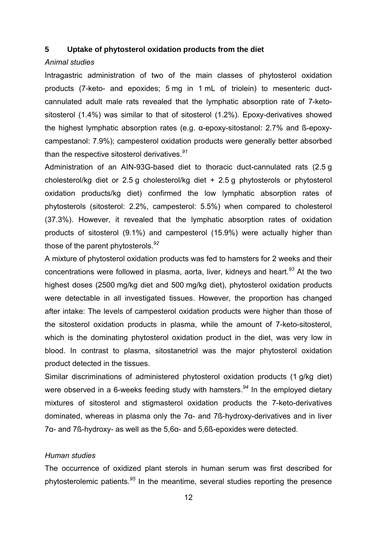#### **5 Uptake of phytosterol oxidation products from the diet**

#### *Animal studies*

Intragastric administration of two of the main classes of phytosterol oxidation products (7-keto- and epoxides; 5 mg in 1 mL of triolein) to mesenteric ductcannulated adult male rats revealed that the lymphatic absorption rate of 7-ketositosterol (1.4%) was similar to that of sitosterol (1.2%). Epoxy-derivatives showed the highest lymphatic absorption rates (e.g. α-epoxy-sitostanol: 2.7% and ß-epoxycampestanol: 7.9%); campesterol oxidation products were generally better absorbed than the respective sitosterol derivatives.*<sup>91</sup>*

Administration of an AIN-93G-based diet to thoracic duct-cannulated rats (2.5 g cholesterol/kg diet or 2.5 g cholesterol/kg diet + 2.5 g phytosterols or phytosterol oxidation products/kg diet) confirmed the low lymphatic absorption rates of phytosterols (sitosterol: 2.2%, campesterol: 5.5%) when compared to cholesterol (37.3%). However, it revealed that the lymphatic absorption rates of oxidation products of sitosterol (9.1%) and campesterol (15.9%) were actually higher than those of the parent phytosterols.*<sup>92</sup>*

A mixture of phytosterol oxidation products was fed to hamsters for 2 weeks and their concentrations were followed in plasma, aorta, liver, kidneys and heart.*<sup>93</sup>* At the two highest doses (2500 mg/kg diet and 500 mg/kg diet), phytosterol oxidation products were detectable in all investigated tissues. However, the proportion has changed after intake: The levels of campesterol oxidation products were higher than those of the sitosterol oxidation products in plasma, while the amount of 7-keto-sitosterol, which is the dominating phytosterol oxidation product in the diet, was very low in blood. In contrast to plasma, sitostanetriol was the major phytosterol oxidation product detected in the tissues.

Similar discriminations of administered phytosterol oxidation products (1 g/kg diet) were observed in a 6-weeks feeding study with hamsters.*<sup>94</sup>* In the employed dietary mixtures of sitosterol and stigmasterol oxidation products the 7-keto-derivatives dominated, whereas in plasma only the 7α- and 7ß-hydroxy-derivatives and in liver 7α- and 7ß-hydroxy- as well as the 5,6α- and 5,6ß-epoxides were detected.

#### *Human studies*

The occurrence of oxidized plant sterols in human serum was first described for phytosterolemic patients.*<sup>95</sup>* In the meantime, several studies reporting the presence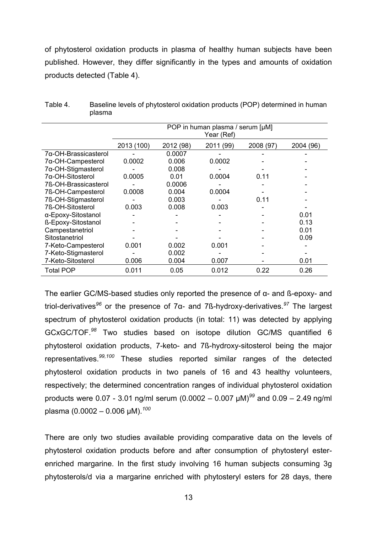of phytosterol oxidation products in plasma of healthy human subjects have been published. However, they differ significantly in the types and amounts of oxidation products detected (Table 4).

|                      | POP in human plasma / serum [µM]<br>Year (Ref) |           |           |           |           |
|----------------------|------------------------------------------------|-----------|-----------|-----------|-----------|
|                      | 2013 (100)                                     | 2012 (98) | 2011 (99) | 2008 (97) | 2004 (96) |
| 7α-OH-Brassicasterol |                                                | 0.0007    |           |           |           |
| 7α-OH-Campesterol    | 0.0002                                         | 0.006     | 0.0002    |           |           |
| 7α-OH-Stigmasterol   |                                                | 0.008     |           |           |           |
| 7α-OH-Sitosterol     | 0.0005                                         | 0.01      | 0.0004    | 0.11      |           |
| 7ß-OH-Brassicasterol |                                                | 0.0006    |           |           |           |
| 7ß-OH-Campesterol    | 0.0008                                         | 0.004     | 0.0004    |           |           |
| 7ß-OH-Stigmasterol   |                                                | 0.003     |           | 0.11      |           |
| 7ß-OH-Sitosterol     | 0.003                                          | 0.008     | 0.003     |           |           |
| α-Epoxy-Sitostanol   |                                                |           |           |           | 0.01      |
| ß-Epoxy-Sitostanol   |                                                |           |           |           | 0.13      |
| Campestanetriol      |                                                |           |           |           | 0.01      |
| Sitostanetriol       |                                                |           |           |           | 0.09      |
| 7-Keto-Campesterol   | 0.001                                          | 0.002     | 0.001     |           |           |
| 7-Keto-Stigmasterol  |                                                | 0.002     |           |           |           |
| 7-Keto-Sitosterol    | 0.006                                          | 0.004     | 0.007     |           | 0.01      |
| <b>Total POP</b>     | 0.011                                          | 0.05      | 0.012     | 0.22      | 0.26      |

| Table 4. | Baseline levels of phytosterol oxidation products (POP) determined in human |
|----------|-----------------------------------------------------------------------------|
|          | plasma                                                                      |

The earlier GC/MS-based studies only reported the presence of α- and ß-epoxy- and triol-derivatives*<sup>96</sup>* or the presence of 7α- and 7ß-hydroxy-derivatives.*<sup>97</sup>* The largest spectrum of phytosterol oxidation products (in total: 11) was detected by applying GCxGC/TOF.*<sup>98</sup>* Two studies based on isotope dilution GC/MS quantified 6 phytosterol oxidation products, 7-keto- and 7ß-hydroxy-sitosterol being the major representatives.*99,100* These studies reported similar ranges of the detected phytosterol oxidation products in two panels of 16 and 43 healthy volunteers, respectively; the determined concentration ranges of individual phytosterol oxidation products were 0.07 - 3.01 ng/ml serum (0.0002 – 0.007 µM)*<sup>99</sup>* and 0.09 – 2.49 ng/ml plasma (0.0002 – 0.006 µM).*<sup>100</sup>*

There are only two studies available providing comparative data on the levels of phytosterol oxidation products before and after consumption of phytosteryl esterenriched margarine. In the first study involving 16 human subjects consuming 3g phytosterols/d via a margarine enriched with phytosteryl esters for 28 days, there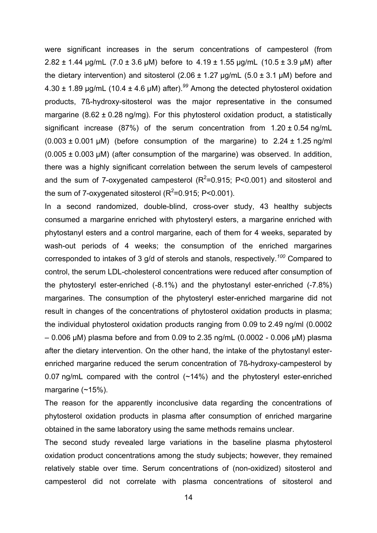were significant increases in the serum concentrations of campesterol (from 2.82  $\pm$  1.44 µg/mL (7.0  $\pm$  3.6 µM) before to 4.19  $\pm$  1.55 µg/mL (10.5  $\pm$  3.9 µM) after the dietary intervention) and sitosterol  $(2.06 \pm 1.27 \,\mu\text{g/mL}$  (5.0  $\pm$  3.1  $\mu$ M) before and 4.30 ± 1.89 µg/mL (10.4 ± 4.6 µM) after).*<sup>99</sup>* Among the detected phytosterol oxidation products, 7ß-hydroxy-sitosterol was the major representative in the consumed margarine  $(8.62 \pm 0.28 \text{ ng/mg})$ . For this phytosterol oxidation product, a statistically significant increase (87%) of the serum concentration from  $1.20 \pm 0.54$  ng/mL  $(0.003 \pm 0.001 \,\mu\text{M})$  (before consumption of the margarine) to 2.24  $\pm$  1.25 ng/ml  $(0.005 \pm 0.003 \,\mu\text{M})$  (after consumption of the margarine) was observed. In addition, there was a highly significant correlation between the serum levels of campesterol and the sum of 7-oxygenated campesterol ( $R^2$ =0.915; P<0.001) and sitosterol and the sum of 7-oxygenated sitosterol ( $R^2$ =0.915; P<0.001).

In a second randomized, double-blind, cross-over study, 43 healthy subjects consumed a margarine enriched with phytosteryl esters, a margarine enriched with phytostanyl esters and a control margarine, each of them for 4 weeks, separated by wash-out periods of 4 weeks; the consumption of the enriched margarines corresponded to intakes of 3 g/d of sterols and stanols, respectively.*<sup>100</sup>* Compared to control, the serum LDL-cholesterol concentrations were reduced after consumption of the phytosteryl ester-enriched (-8.1%) and the phytostanyl ester-enriched (-7.8%) margarines. The consumption of the phytosteryl ester-enriched margarine did not result in changes of the concentrations of phytosterol oxidation products in plasma; the individual phytosterol oxidation products ranging from 0.09 to 2.49 ng/ml (0.0002  $-0.006$  µM) plasma before and from 0.09 to 2.35 ng/mL (0.0002 - 0.006 µM) plasma after the dietary intervention. On the other hand, the intake of the phytostanyl esterenriched margarine reduced the serum concentration of 7ß-hydroxy-campesterol by 0.07 ng/mL compared with the control (~14%) and the phytosteryl ester-enriched margarine  $(\sim 15\%)$ .

The reason for the apparently inconclusive data regarding the concentrations of phytosterol oxidation products in plasma after consumption of enriched margarine obtained in the same laboratory using the same methods remains unclear.

The second study revealed large variations in the baseline plasma phytosterol oxidation product concentrations among the study subjects; however, they remained relatively stable over time. Serum concentrations of (non-oxidized) sitosterol and campesterol did not correlate with plasma concentrations of sitosterol and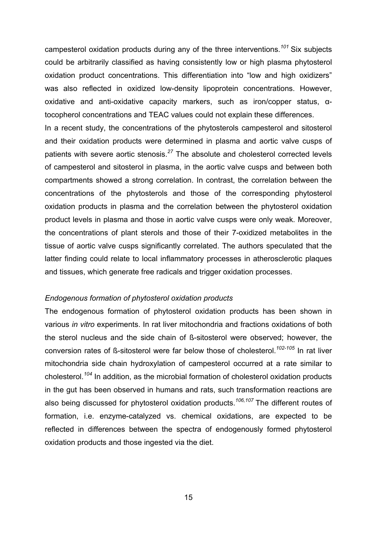campesterol oxidation products during any of the three interventions.<sup>101</sup> Six subjects could be arbitrarily classified as having consistently low or high plasma phytosterol oxidation product concentrations. This differentiation into "low and high oxidizers" was also reflected in oxidized low-density lipoprotein concentrations. However, oxidative and anti-oxidative capacity markers, such as iron/copper status, αtocopherol concentrations and TEAC values could not explain these differences.

In a recent study, the concentrations of the phytosterols campesterol and sitosterol and their oxidation products were determined in plasma and aortic valve cusps of patients with severe aortic stenosis.*<sup>27</sup>* The absolute and cholesterol corrected levels of campesterol and sitosterol in plasma, in the aortic valve cusps and between both compartments showed a strong correlation. In contrast, the correlation between the concentrations of the phytosterols and those of the corresponding phytosterol oxidation products in plasma and the correlation between the phytosterol oxidation product levels in plasma and those in aortic valve cusps were only weak. Moreover, the concentrations of plant sterols and those of their 7-oxidized metabolites in the tissue of aortic valve cusps significantly correlated. The authors speculated that the latter finding could relate to local inflammatory processes in atherosclerotic plaques and tissues, which generate free radicals and trigger oxidation processes.

#### *Endogenous formation of phytosterol oxidation products*

The endogenous formation of phytosterol oxidation products has been shown in various *in vitro* experiments. In rat liver mitochondria and fractions oxidations of both the sterol nucleus and the side chain of ß-sitosterol were observed; however, the conversion rates of ß-sitosterol were far below those of cholesterol.*102-105* In rat liver mitochondria side chain hydroxylation of campesterol occurred at a rate similar to cholesterol.*<sup>104</sup>* In addition, as the microbial formation of cholesterol oxidation products in the gut has been observed in humans and rats, such transformation reactions are also being discussed for phytosterol oxidation products.*106,107* The different routes of formation, i.e. enzyme-catalyzed vs. chemical oxidations, are expected to be reflected in differences between the spectra of endogenously formed phytosterol oxidation products and those ingested via the diet.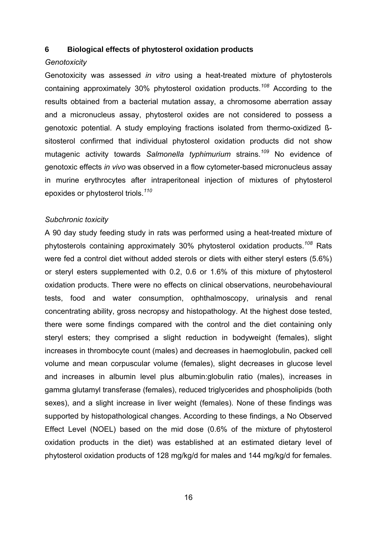#### **6 Biological effects of phytosterol oxidation products**

#### *Genotoxicity*

Genotoxicity was assessed *in vitro* using a heat-treated mixture of phytosterols containing approximately 30% phytosterol oxidation products.*<sup>108</sup>* According to the results obtained from a bacterial mutation assay, a chromosome aberration assay and a micronucleus assay, phytosterol oxides are not considered to possess a genotoxic potential. A study employing fractions isolated from thermo-oxidized ßsitosterol confirmed that individual phytosterol oxidation products did not show mutagenic activity towards *Salmonella typhimurium* strains.*<sup>109</sup>* No evidence of genotoxic effects *in vivo* was observed in a flow cytometer-based micronucleus assay in murine erythrocytes after intraperitoneal injection of mixtures of phytosterol epoxides or phytosterol triols.*<sup>110</sup>*

#### *Subchronic toxicity*

A 90 day study feeding study in rats was performed using a heat-treated mixture of phytosterols containing approximately 30% phytosterol oxidation products.*<sup>108</sup>* Rats were fed a control diet without added sterols or diets with either steryl esters (5.6%) or steryl esters supplemented with 0.2, 0.6 or 1.6% of this mixture of phytosterol oxidation products. There were no effects on clinical observations, neurobehavioural tests, food and water consumption, ophthalmoscopy, urinalysis and renal concentrating ability, gross necropsy and histopathology. At the highest dose tested, there were some findings compared with the control and the diet containing only steryl esters; they comprised a slight reduction in bodyweight (females), slight increases in thrombocyte count (males) and decreases in haemoglobulin, packed cell volume and mean corpuscular volume (females), slight decreases in glucose level and increases in albumin level plus albumin:globulin ratio (males), increases in gamma glutamyl transferase (females), reduced triglycerides and phospholipids (both sexes), and a slight increase in liver weight (females). None of these findings was supported by histopathological changes. According to these findings, a No Observed Effect Level (NOEL) based on the mid dose (0.6% of the mixture of phytosterol oxidation products in the diet) was established at an estimated dietary level of phytosterol oxidation products of 128 mg/kg/d for males and 144 mg/kg/d for females.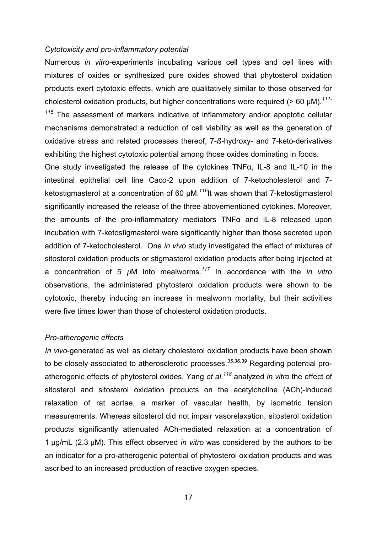#### *Cytotoxicity and pro-inflammatory potential*

Numerous *in vitro*-experiments incubating various cell types and cell lines with mixtures of oxides or synthesized pure oxides showed that phytosterol oxidation products exert cytotoxic effects, which are qualitatively similar to those observed for cholesterol oxidation products, but higher concentrations were required (> 60 µM).*111- <sup>115</sup>* The assessment of markers indicative of inflammatory and/or apoptotic cellular mechanisms demonstrated a reduction of cell viability as well as the generation of oxidative stress and related processes thereof, 7-*ß*-hydroxy- and 7-keto-derivatives exhibiting the highest cytotoxic potential among those oxides dominating in foods.

One study investigated the release of the cytokines TNFα, IL-8 and IL-10 in the intestinal epithelial cell line Caco-2 upon addition of 7-ketocholesterol and 7 ketostigmasterol at a concentration of 60 µM.*<sup>116</sup>*It was shown that 7-ketostigmasterol significantly increased the release of the three abovementioned cytokines. Moreover, the amounts of the pro-inflammatory mediators TNFα and IL-8 released upon incubation with 7-ketostigmasterol were significantly higher than those secreted upon addition of 7-ketocholesterol. One *in vivo* study investigated the effect of mixtures of sitosterol oxidation products or stigmasterol oxidation products after being injected at a concentration of 5 *µ*M into mealworms.*<sup>117</sup>* In accordance with the *in vitro* observations, the administered phytosterol oxidation products were shown to be cytotoxic, thereby inducing an increase in mealworm mortality, but their activities were five times lower than those of cholesterol oxidation products.

#### *Pro-atherogenic effects*

*In vivo*-generated as well as dietary cholesterol oxidation products have been shown to be closely associated to atherosclerotic processes.<sup>35,36,39</sup> Regarding potential proatherogenic effects of phytosterol oxides, Yang *et al*. *<sup>118</sup>* analyzed *in vitro* the effect of sitosterol and sitosterol oxidation products on the acetylcholine (ACh)-induced relaxation of rat aortae, a marker of vascular health, by isometric tension measurements. Whereas sitosterol did not impair vasorelaxation, sitosterol oxidation products significantly attenuated ACh-mediated relaxation at a concentration of 1 µg/mL (2.3 µM). This effect observed *in vitro* was considered by the authors to be an indicator for a pro-atherogenic potential of phytosterol oxidation products and was ascribed to an increased production of reactive oxygen species.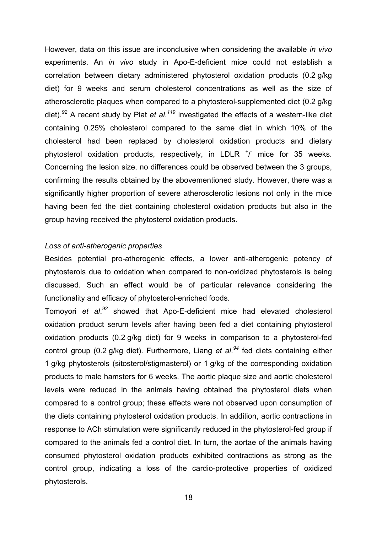However, data on this issue are inconclusive when considering the available *in vivo* experiments. An *in vivo* study in Apo-E-deficient mice could not establish a correlation between dietary administered phytosterol oxidation products (0.2 g/kg diet) for 9 weeks and serum cholesterol concentrations as well as the size of atherosclerotic plaques when compared to a phytosterol-supplemented diet (0.2 g/kg diet).*<sup>92</sup>* A recent study by Plat *et al*. *<sup>119</sup>* investigated the effects of a western-like diet containing 0.25% cholesterol compared to the same diet in which 10% of the cholesterol had been replaced by cholesterol oxidation products and dietary phytosterol oxidation products, respectively, in LDLR  $^{\dagger}$ / mice for 35 weeks. Concerning the lesion size, no differences could be observed between the 3 groups, confirming the results obtained by the abovementioned study. However, there was a significantly higher proportion of severe atherosclerotic lesions not only in the mice having been fed the diet containing cholesterol oxidation products but also in the group having received the phytosterol oxidation products.

#### *Loss of anti-atherogenic properties*

Besides potential pro-atherogenic effects, a lower anti-atherogenic potency of phytosterols due to oxidation when compared to non-oxidized phytosterols is being discussed. Such an effect would be of particular relevance considering the functionality and efficacy of phytosterol-enriched foods.

Tomoyori *et al*. *<sup>92</sup>* showed that Apo-E-deficient mice had elevated cholesterol oxidation product serum levels after having been fed a diet containing phytosterol oxidation products (0.2 g/kg diet) for 9 weeks in comparison to a phytosterol-fed control group (0.2 g/kg diet). Furthermore, Liang *et al*. *<sup>94</sup>* fed diets containing either 1 g/kg phytosterols (sitosterol/stigmasterol) or 1 g/kg of the corresponding oxidation products to male hamsters for 6 weeks. The aortic plaque size and aortic cholesterol levels were reduced in the animals having obtained the phytosterol diets when compared to a control group; these effects were not observed upon consumption of the diets containing phytosterol oxidation products. In addition, aortic contractions in response to ACh stimulation were significantly reduced in the phytosterol-fed group if compared to the animals fed a control diet. In turn, the aortae of the animals having consumed phytosterol oxidation products exhibited contractions as strong as the control group, indicating a loss of the cardio-protective properties of oxidized phytosterols.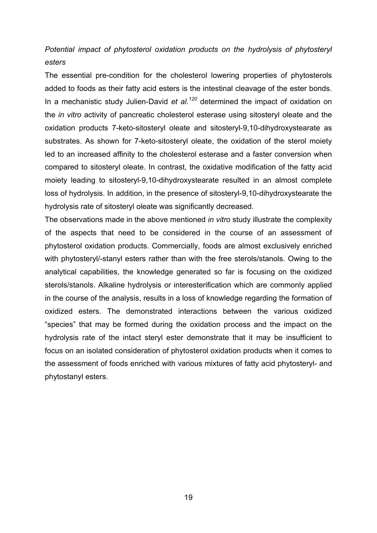# *Potential impact of phytosterol oxidation products on the hydrolysis of phytosteryl esters*

The essential pre-condition for the cholesterol lowering properties of phytosterols added to foods as their fatty acid esters is the intestinal cleavage of the ester bonds. In a mechanistic study Julien-David *et al*. *<sup>120</sup>* determined the impact of oxidation on the *in vitro* activity of pancreatic cholesterol esterase using sitosteryl oleate and the oxidation products 7-keto-sitosteryl oleate and sitosteryl-9,10-dihydroxystearate as substrates. As shown for 7-keto-sitosteryl oleate, the oxidation of the sterol moiety led to an increased affinity to the cholesterol esterase and a faster conversion when compared to sitosteryl oleate. In contrast, the oxidative modification of the fatty acid moiety leading to sitosteryl-9,10-dihydroxystearate resulted in an almost complete loss of hydrolysis. In addition, in the presence of sitosteryl-9,10-dihydroxystearate the hydrolysis rate of sitosteryl oleate was significantly decreased.

The observations made in the above mentioned *in vitro* study illustrate the complexity of the aspects that need to be considered in the course of an assessment of phytosterol oxidation products. Commercially, foods are almost exclusively enriched with phytosteryl/-stanyl esters rather than with the free sterols/stanols. Owing to the analytical capabilities, the knowledge generated so far is focusing on the oxidized sterols/stanols. Alkaline hydrolysis or interesterification which are commonly applied in the course of the analysis, results in a loss of knowledge regarding the formation of oxidized esters. The demonstrated interactions between the various oxidized "species" that may be formed during the oxidation process and the impact on the hydrolysis rate of the intact steryl ester demonstrate that it may be insufficient to focus on an isolated consideration of phytosterol oxidation products when it comes to the assessment of foods enriched with various mixtures of fatty acid phytosteryl- and phytostanyl esters.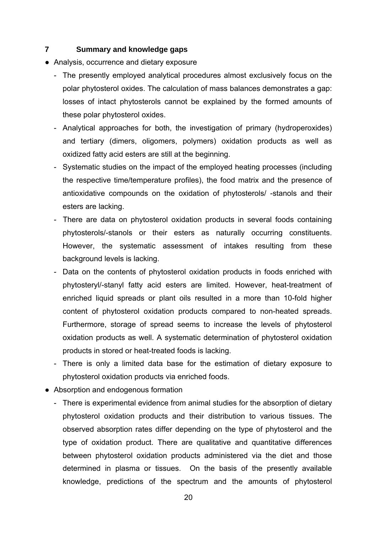### **7 Summary and knowledge gaps**

- Analysis, occurrence and dietary exposure
	- The presently employed analytical procedures almost exclusively focus on the polar phytosterol oxides. The calculation of mass balances demonstrates a gap: losses of intact phytosterols cannot be explained by the formed amounts of these polar phytosterol oxides.
	- Analytical approaches for both, the investigation of primary (hydroperoxides) and tertiary (dimers, oligomers, polymers) oxidation products as well as oxidized fatty acid esters are still at the beginning.
	- Systematic studies on the impact of the employed heating processes (including the respective time/temperature profiles), the food matrix and the presence of antioxidative compounds on the oxidation of phytosterols/ -stanols and their esters are lacking.
	- There are data on phytosterol oxidation products in several foods containing phytosterols/-stanols or their esters as naturally occurring constituents. However, the systematic assessment of intakes resulting from these background levels is lacking.
	- Data on the contents of phytosterol oxidation products in foods enriched with phytosteryl/-stanyl fatty acid esters are limited. However, heat-treatment of enriched liquid spreads or plant oils resulted in a more than 10-fold higher content of phytosterol oxidation products compared to non-heated spreads. Furthermore, storage of spread seems to increase the levels of phytosterol oxidation products as well. A systematic determination of phytosterol oxidation products in stored or heat-treated foods is lacking.
	- There is only a limited data base for the estimation of dietary exposure to phytosterol oxidation products via enriched foods.
- Absorption and endogenous formation
	- There is experimental evidence from animal studies for the absorption of dietary phytosterol oxidation products and their distribution to various tissues. The observed absorption rates differ depending on the type of phytosterol and the type of oxidation product. There are qualitative and quantitative differences between phytosterol oxidation products administered via the diet and those determined in plasma or tissues. On the basis of the presently available knowledge, predictions of the spectrum and the amounts of phytosterol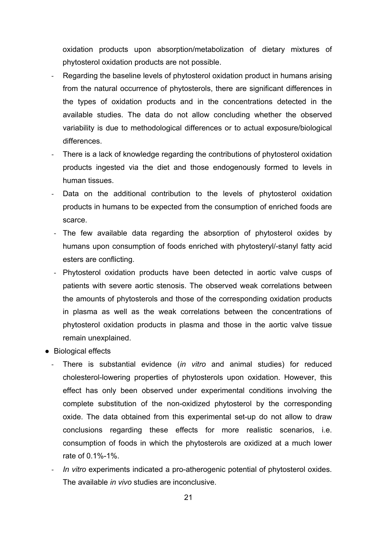oxidation products upon absorption/metabolization of dietary mixtures of phytosterol oxidation products are not possible.

- ‐ Regarding the baseline levels of phytosterol oxidation product in humans arising from the natural occurrence of phytosterols, there are significant differences in the types of oxidation products and in the concentrations detected in the available studies. The data do not allow concluding whether the observed variability is due to methodological differences or to actual exposure/biological differences.
- ‐ There is a lack of knowledge regarding the contributions of phytosterol oxidation products ingested via the diet and those endogenously formed to levels in human tissues.
- Data on the additional contribution to the levels of phytosterol oxidation products in humans to be expected from the consumption of enriched foods are scarce.
- ‐ The few available data regarding the absorption of phytosterol oxides by humans upon consumption of foods enriched with phytosteryl/-stanyl fatty acid esters are conflicting.
- ‐ Phytosterol oxidation products have been detected in aortic valve cusps of patients with severe aortic stenosis. The observed weak correlations between the amounts of phytosterols and those of the corresponding oxidation products in plasma as well as the weak correlations between the concentrations of phytosterol oxidation products in plasma and those in the aortic valve tissue remain unexplained.
- Biological effects
	- ‐ There is substantial evidence (*in vitro* and animal studies) for reduced cholesterol-lowering properties of phytosterols upon oxidation. However, this effect has only been observed under experimental conditions involving the complete substitution of the non-oxidized phytosterol by the corresponding oxide. The data obtained from this experimental set-up do not allow to draw conclusions regarding these effects for more realistic scenarios, i.e. consumption of foods in which the phytosterols are oxidized at a much lower rate of 0.1%-1%.
	- ‐ *In vitro* experiments indicated a pro-atherogenic potential of phytosterol oxides. The available *in vivo* studies are inconclusive.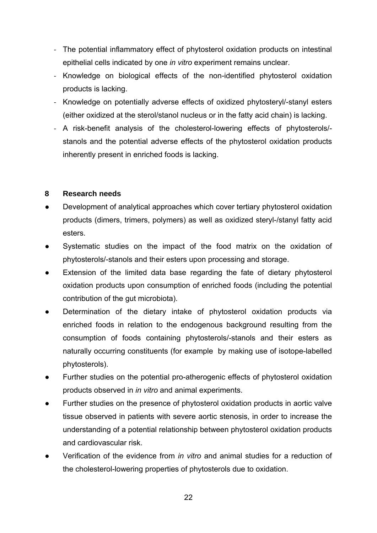- ‐ The potential inflammatory effect of phytosterol oxidation products on intestinal epithelial cells indicated by one *in vitro* experiment remains unclear.
- ‐ Knowledge on biological effects of the non-identified phytosterol oxidation products is lacking.
- ‐ Knowledge on potentially adverse effects of oxidized phytosteryl/-stanyl esters (either oxidized at the sterol/stanol nucleus or in the fatty acid chain) is lacking.
- ‐ A risk-benefit analysis of the cholesterol-lowering effects of phytosterols/ stanols and the potential adverse effects of the phytosterol oxidation products inherently present in enriched foods is lacking.

# **8 Research needs**

- Development of analytical approaches which cover tertiary phytosterol oxidation products (dimers, trimers, polymers) as well as oxidized steryl-/stanyl fatty acid esters.
- Systematic studies on the impact of the food matrix on the oxidation of phytosterols/-stanols and their esters upon processing and storage.
- Extension of the limited data base regarding the fate of dietary phytosterol oxidation products upon consumption of enriched foods (including the potential contribution of the gut microbiota).
- Determination of the dietary intake of phytosterol oxidation products via enriched foods in relation to the endogenous background resulting from the consumption of foods containing phytosterols/-stanols and their esters as naturally occurring constituents (for example by making use of isotope-labelled phytosterols).
- Further studies on the potential pro-atherogenic effects of phytosterol oxidation products observed in *in vitro* and animal experiments.
- Further studies on the presence of phytosterol oxidation products in aortic valve tissue observed in patients with severe aortic stenosis, in order to increase the understanding of a potential relationship between phytosterol oxidation products and cardiovascular risk.
- Verification of the evidence from *in vitro* and animal studies for a reduction of the cholesterol-lowering properties of phytosterols due to oxidation.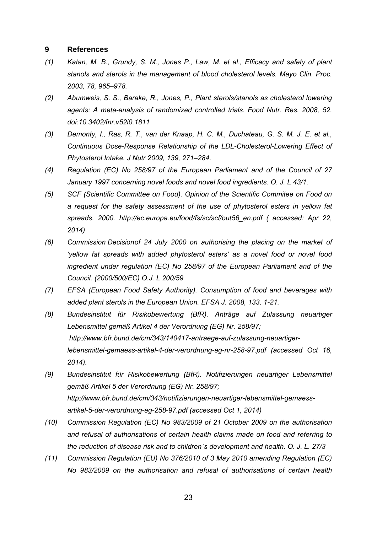#### **9 References**

- *(1) Katan, M. B., Grundy, S. M., Jones P., Law, M. et al., Efficacy and safety of plant stanols and sterols in the management of blood cholesterol levels. Mayo Clin. Proc. 2003, 78, 965–978.*
- *(2) Abumweis, S. S., Barake, R., Jones, P., Plant sterols/stanols as cholesterol lowering agents: A meta-analysis of randomized controlled trials. Food Nutr. Res. 2008, 52. doi:10.3402/fnr.v52i0.1811*
- *(3) Demonty, I., Ras, R. T., van der Knaap, H. C. M., Duchateau, G. S. M. J. E. et al., Continuous Dose-Response Relationship of the LDL-Cholesterol-Lowering Effect of Phytosterol Intake. J Nutr 2009, 139, 271–284.*
- *(4) Regulation (EC) No 258/97 of the European Parliament and of the Council of 27 January 1997 concerning novel foods and novel food ingredients. O. J. L 43/1.*
- *(5) SCF (Scientific Committee on Food). Opinion of the Scientific Commitee on Food on a request for the safety assessment of the use of phytosterol esters in yellow fat spreads. 2000. http://ec.europa.eu/food/fs/sc/scf/out56\_en.pdf ( accessed: Apr 22, 2014)*
- *(6) Commission Decision of 24 July 2000 on authorising the placing on the market of 'yellow fat spreads with added phytosterol esters' as a novel food or novel food ingredient under regulation (EC) No 258/97 of the European Parliament and of the Council. (2000/500/EC) O.J. L 200/59*
- *(7) EFSA (European Food Safety Authority). Consumption of food and beverages with added plant sterols in the European Union. EFSA J. 2008, 133, 1-21.*
- *(8) Bundesinstitut für Risikobewertung (BfR). Anträge auf Zulassung neuartiger Lebensmittel gemäß Artikel 4 der Verordnung (EG) Nr. 258/97; http://www.bfr.bund.de/cm/343/140417-antraege-auf-zulassung-neuartigerlebensmittel-gemaess-artikel-4-der-verordnung-eg-nr-258-97.pdf (accessed Oct 16, 2014).*
- *(9) Bundesinstitut für Risikobewertung (BfR). Notifizierungen neuartiger Lebensmittel gemäß Artikel 5 der Verordnung (EG) Nr. 258/97; http://www.bfr.bund.de/cm/343/notifizierungen-neuartiger-lebensmittel-gemaessartikel-5-der-verordnung-eg-258-97.pdf (accessed Oct 1, 2014)*
- *(10) Commission Regulation (EC) No 983/2009 of 21 October 2009 on the authorisation and refusal of authorisations of certain health claims made on food and referring to the reduction of disease risk and to children´s development and health. O. J. L. 27/3*
- *(11) Commission Regulation (EU) No 376/2010 of 3 May 2010 amending Regulation (EC) No 983/2009 on the authorisation and refusal of authorisations of certain health*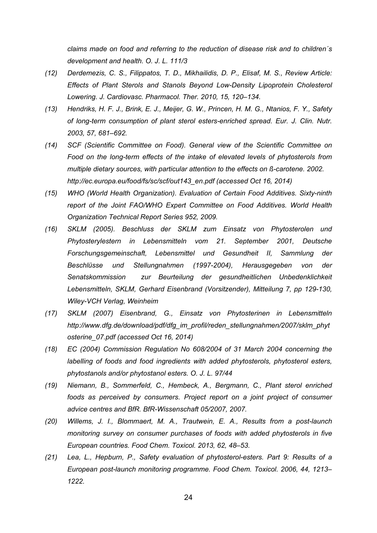*claims made on food and referring to the reduction of disease risk and to children´s development and health. O. J. L. 111/3* 

- *(12) Derdemezis, C. S., Filippatos, T. D., Mikhailidis, D. P., Elisaf, M. S., Review Article: Effects of Plant Sterols and Stanols Beyond Low-Density Lipoprotein Cholesterol Lowering. J. Cardiovasc. Pharmacol. Ther. 2010, 15, 120–134.*
- *(13) Hendriks, H. F. J., Brink, E. J., Meijer, G. W., Princen, H. M. G., Ntanios, F. Y., Safety of long-term consumption of plant sterol esters-enriched spread. Eur. J. Clin. Nutr. 2003, 57, 681–692.*
- *(14) SCF (Scientific Committee on Food). General view of the Scientific Committee on Food on the long-term effects of the intake of elevated levels of phytosterols from multiple dietary sources, with particular attention to the effects on ß-carotene. 2002. http://ec.europa.eu/food/fs/sc/scf/out143\_en.pdf (accessed Oct 16, 2014)*
- *(15) WHO (World Health Organization). Evaluation of Certain Food Additives. Sixty-ninth report of the Joint FAO/WHO Expert Committee on Food Additives. World Health Organization Technical Report Series 952, 2009.*
- *(16) SKLM (2005). Beschluss der SKLM zum Einsatz von Phytosterolen und Phytosterylestern in Lebensmitteln vom 21. September 2001, Deutsche Forschungsgemeinschaft, Lebensmittel und Gesundheit II, Sammlung der Beschlüsse und Stellungnahmen (1997-2004), Herausgegeben von der Senatskommission zur Beurteilung der gesundheitlichen Unbedenklichkeit Lebensmitteln, SKLM, Gerhard Eisenbrand (Vorsitzender), Mitteilung 7, pp 129-130, Wiley-VCH Verlag, Weinheim*
- *(17) SKLM (2007) Eisenbrand, G., Einsatz von Phytosterinen in Lebensmitteln http://www.dfg.de/download/pdf/dfg\_im\_profil/reden\_stellungnahmen/2007/sklm\_phyt osterine\_07.pdf (accessed Oct 16, 2014)*
- *(18) EC (2004) Commission Regulation No 608/2004 of 31 March 2004 concerning the labelling of foods and food ingredients with added phytosterols, phytosterol esters, phytostanols and/or phytostanol esters. O. J. L. 97/44*
- *(19) Niemann, B., Sommerfeld, C., Hembeck, A., Bergmann, C., Plant sterol enriched foods as perceived by consumers. Project report on a joint project of consumer advice centres and BfR. BfR-Wissenschaft 05/2007, 2007.*
- *(20) Willems, J. I., Blommaert, M. A., Trautwein, E. A., Results from a post-launch monitoring survey on consumer purchases of foods with added phytosterols in five European countries. Food Chem. Toxicol. 2013, 62, 48–53.*
- *(21) Lea, L., Hepburn, P., Safety evaluation of phytosterol-esters. Part 9: Results of a European post-launch monitoring programme. Food Chem. Toxicol. 2006, 44, 1213– 1222.*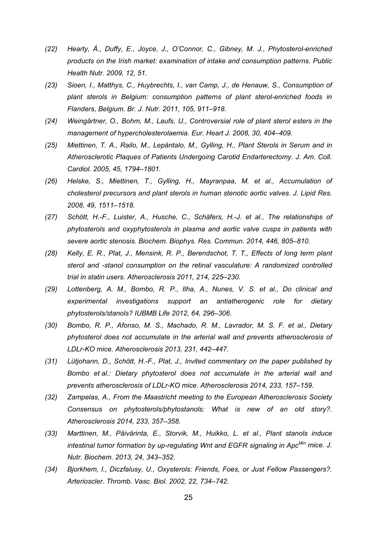- *(22) Hearty, Á., Duffy, E., Joyce, J., O'Connor, C., Gibney, M. J., Phytosterol-enriched products on the Irish market: examination of intake and consumption patterns. Public Health Nutr. 2009, 12, 51.*
- *(23) Sioen, I., Matthys, C., Huybrechts, I., van Camp, J., de Henauw, S., Consumption of plant sterols in Belgium: consumption patterns of plant sterol-enriched foods in Flanders, Belgium. Br. J. Nutr. 2011, 105, 911–918.*
- *(24) Weingärtner, O., Bohm, M., Laufs, U., Controversial role of plant sterol esters in the management of hypercholesterolaemia. Eur. Heart J. 2008, 30, 404–409.*
- *(25) Miettinen, T. A., Railo, M., Lepäntalo, M., Gylling, H., Plant Sterols in Serum and in Atherosclerotic Plaques of Patients Undergoing Carotid Endarterectomy. J. Am. Coll. Cardiol. 2005, 45, 1794–1801.*
- *(26) Helske, S., Miettinen, T., Gylling, H., Mayranpaa, M. et al., Accumulation of cholesterol precursors and plant sterols in human stenotic aortic valves. J. Lipid Res. 2008, 49, 1511–1518.*
- *(27) Schött, H.-F., Luister, A., Husche, C., Schäfers, H.-J. et al., The relationships of phytosterols and oxyphytosterols in plasma and aortic valve cusps in patients with severe aortic stenosis. Biochem. Biophys. Res. Commun. 2014, 446, 805–810.*
- *(28) Kelly, E. R., Plat, J., Mensink, R. P., Berendschot, T. T., Effects of long term plant sterol and -stanol consumption on the retinal vasculature: A randomized controlled trial in statin users. Atherosclerosis 2011, 214, 225–230.*
- *(29) Lottenberg, A. M., Bombo, R. P., Ilha, A., Nunes, V. S. et al., Do clinical and experimental investigations support an antiatherogenic role for dietary phytosterols/stanols? IUBMB Life 2012, 64, 296–306.*
- *(30) Bombo, R. P., Afonso, M. S., Machado, R. M., Lavrador, M. S. F. et al., Dietary phytosterol does not accumulate in the arterial wall and prevents atherosclerosis of LDLr-KO mice. Atherosclerosis 2013, 231, 442–447.*
- *(31) Lütjohann, D., Schött, H.-F., Plat, J., Invited commentary on the paper published by Bombo et al.: Dietary phytosterol does not accumulate in the arterial wall and prevents atherosclerosis of LDLr-KO mice. Atherosclerosis 2014, 233, 157–159.*
- *(32) Zampelas, A., From the Maastricht meeting to the European Atherosclerosis Society Consensus on phytosterols/phytostanols: What is new of an old story?. Atherosclerosis 2014, 233, 357–358.*
- *(33) Marttinen, M., Päivärinta, E., Storvik, M., Huikko, L. et al., Plant stanols induce intestinal tumor formation by up-regulating Wnt and EGFR signaling in ApcMin mice. J. Nutr. Biochem. 2013, 24, 343–352.*
- *(34) Bjorkhem, I., Diczfalusy, U., Oxysterols: Friends, Foes, or Just Fellow Passengers?. Arterioscler. Thromb. Vasc. Biol. 2002, 22, 734–742.*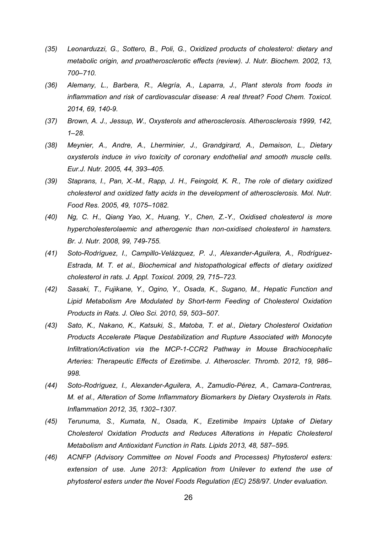- *(35) Leonarduzzi, G., Sottero, B., Poli, G., Oxidized products of cholesterol: dietary and metabolic origin, and proatherosclerotic effects (review). J. Nutr. Biochem. 2002, 13, 700–710.*
- *(36) Alemany, L., Barbera, R., Alegría, A., Laparra, J., Plant sterols from foods in inflammation and risk of cardiovascular disease: A real threat? Food Chem. Toxicol. 2014, 69, 140-9.*
- *(37) Brown, A. J., Jessup, W., Oxysterols and atherosclerosis. Atherosclerosis 1999, 142, 1–28.*
- *(38) Meynier, A., Andre, A., Lherminier, J., Grandgirard, A., Demaison, L., Dietary oxysterols induce in vivo toxicity of coronary endothelial and smooth muscle cells. Eur.J. Nutr. 2005, 44, 393–405.*
- *(39) Staprans, I., Pan, X.-M., Rapp, J. H., Feingold, K. R., The role of dietary oxidized cholesterol and oxidized fatty acids in the development of atherosclerosis. Mol. Nutr. Food Res. 2005, 49, 1075–1082.*
- *(40) Ng, C. H., Qiang Yao, X., Huang, Y., Chen, Z.-Y., Oxidised cholesterol is more hypercholesterolaemic and atherogenic than non-oxidised cholesterol in hamsters. Br. J. Nutr. 2008, 99, 749-755.*
- *(41) Soto-Rodríguez, I., Campillo-Velázquez, P. J., Alexander-Aguilera, A., Rodríguez-Estrada, M. T. et al., Biochemical and histopathological effects of dietary oxidized cholesterol in rats. J. Appl. Toxicol. 2009, 29, 715–723.*
- *(42) Sasaki, T., Fujikane, Y., Ogino, Y., Osada, K., Sugano, M., Hepatic Function and Lipid Metabolism Are Modulated by Short-term Feeding of Cholesterol Oxidation Products in Rats. J. Oleo Sci. 2010, 59, 503–507.*
- *(43) Sato, K., Nakano, K., Katsuki, S., Matoba, T. et al., Dietary Cholesterol Oxidation Products Accelerate Plaque Destabilization and Rupture Associated with Monocyte Infiltration/Activation via the MCP-1-CCR2 Pathway in Mouse Brachiocephalic Arteries: Therapeutic Effects of Ezetimibe. J. Atheroscler. Thromb. 2012, 19, 986– 998.*
- *(44) Soto-Rodríguez, I., Alexander-Aguilera, A., Zamudio-Pérez, A., Camara-Contreras, M. et al., Alteration of Some Inflammatory Biomarkers by Dietary Oxysterols in Rats. Inflammation 2012, 35, 1302–1307.*
- *(45) Terunuma, S., Kumata, N., Osada, K., Ezetimibe Impairs Uptake of Dietary Cholesterol Oxidation Products and Reduces Alterations in Hepatic Cholesterol Metabolism and Antioxidant Function in Rats. Lipids 2013, 48, 587–595.*
- *(46) ACNFP (Advisory Committee on Novel Foods and Processes) Phytosterol esters: extension of use. June 2013: Application from Unilever to extend the use of phytosterol esters under the Novel Foods Regulation (EC) 258/97. Under evaluation.*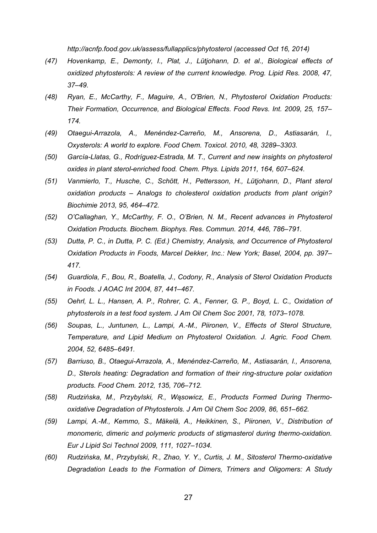*http://acnfp.food.gov.uk/assess/fullapplics/phytosterol (accessed Oct 16, 2014)* 

- *(47) Hovenkamp, E., Demonty, I., Plat, J., Lütjohann, D. et al., Biological effects of oxidized phytosterols: A review of the current knowledge. Prog. Lipid Res. 2008, 47, 37–49.*
- *(48) Ryan, E., McCarthy, F., Maguire, A., O'Brien, N., Phytosterol Oxidation Products: Their Formation, Occurrence, and Biological Effects. Food Revs. Int. 2009, 25, 157– 174.*
- *(49) Otaegui-Arrazola, A., Menéndez-Carreño, M., Ansorena, D., Astiasarán, I., Oxysterols: A world to explore. Food Chem. Toxicol. 2010, 48, 3289–3303.*
- *(50) García-Llatas, G., Rodríguez-Estrada, M. T., Current and new insights on phytosterol oxides in plant sterol-enriched food. Chem. Phys. Lipids 2011, 164, 607–624.*
- *(51) Vanmierlo, T., Husche, C., Schött, H., Pettersson, H., Lütjohann, D., Plant sterol oxidation products – Analogs to cholesterol oxidation products from plant origin? Biochimie 2013, 95, 464–472.*
- *(52) O'Callaghan, Y., McCarthy, F. O., O'Brien, N. M., Recent advances in Phytosterol Oxidation Products. Biochem. Biophys. Res. Commun. 2014, 446, 786–791.*
- *(53) Dutta, P. C., in Dutta, P. C. (Ed.) Chemistry, Analysis, and Occurrence of Phytosterol Oxidation Products in Foods, Marcel Dekker, Inc.: New York; Basel, 2004, pp. 397– 417.*
- *(54) Guardiola, F., Bou, R., Boatella, J., Codony, R., Analysis of Sterol Oxidation Products in Foods. J AOAC Int 2004, 87, 441–467.*
- *(55) Oehrl, L. L., Hansen, A. P., Rohrer, C. A., Fenner, G. P., Boyd, L. C., Oxidation of phytosterols in a test food system. J Am Oil Chem Soc 2001, 78, 1073–1078.*
- *(56) Soupas, L., Juntunen, L., Lampi, A.-M., Piironen, V., Effects of Sterol Structure, Temperature, and Lipid Medium on Phytosterol Oxidation. J. Agric. Food Chem. 2004, 52, 6485–6491.*
- *(57) Barriuso, B., Otaegui-Arrazola, A., Menéndez-Carreño, M., Astiasarán, I., Ansorena, D., Sterols heating: Degradation and formation of their ring-structure polar oxidation products. Food Chem. 2012, 135, 706–712.*
- *(58) Rudzińska, M., Przybylski, R., Wąsowicz, E., Products Formed During Thermooxidative Degradation of Phytosterols. J Am Oil Chem Soc 2009, 86, 651–662.*
- *(59) Lampi, A.-M., Kemmo, S., Mäkelä, A., Heikkinen, S., Piironen, V., Distribution of monomeric, dimeric and polymeric products of stigmasterol during thermo-oxidation. Eur J Lipid Sci Technol 2009, 111, 1027–1034.*
- *(60) Rudzińska, M., Przybylski, R., Zhao, Y. Y., Curtis, J. M., Sitosterol Thermo-oxidative Degradation Leads to the Formation of Dimers, Trimers and Oligomers: A Study*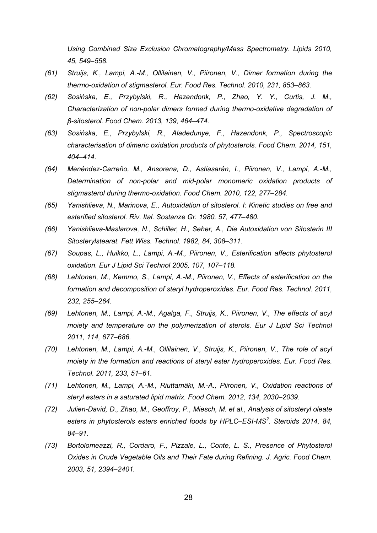*Using Combined Size Exclusion Chromatography/Mass Spectrometry. Lipids 2010, 45, 549–558.* 

- *(61) Struijs, K., Lampi, A.-M., Ollilainen, V., Piironen, V., Dimer formation during the thermo-oxidation of stigmasterol. Eur. Food Res. Technol. 2010, 231, 853–863.*
- *(62) Sosińska, E., Przybylski, R., Hazendonk, P., Zhao, Y. Y., Curtis, J. M., Characterization of non-polar dimers formed during thermo-oxidative degradation of β-sitosterol. Food Chem. 2013, 139, 464–474.*
- *(63) Sosińska, E., Przybylski, R., Aladedunye, F., Hazendonk, P., Spectroscopic characterisation of dimeric oxidation products of phytosterols. Food Chem. 2014, 151, 404–414.*
- *(64) Menéndez-Carreño, M., Ansorena, D., Astiasarán, I., Piironen, V., Lampi, A.-M., Determination of non-polar and mid-polar monomeric oxidation products of stigmasterol during thermo-oxidation. Food Chem. 2010, 122, 277–284.*
- *(65) Yanishlieva, N., Marinova, E., Autoxidation of sitosterol. I: Kinetic studies on free and esterified sitosterol. Riv. Ital. Sostanze Gr. 1980, 57, 477–480.*
- *(66) Yanishlieva-Maslarova, N., Schiller, H., Seher, A., Die Autoxidation von Sitosterin III Sitosterylstearat. Fett Wiss. Technol. 1982, 84, 308–311.*
- *(67) Soupas, L., Huikko, L., Lampi, A.-M., Piironen, V., Esterification affects phytosterol oxidation. Eur J Lipid Sci Technol 2005, 107, 107–118.*
- *(68) Lehtonen, M., Kemmo, S., Lampi, A.-M., Piironen, V., Effects of esterification on the formation and decomposition of steryl hydroperoxides. Eur. Food Res. Technol. 2011, 232, 255–264.*
- *(69) Lehtonen, M., Lampi, A.-M., Agalga, F., Struijs, K., Piironen, V., The effects of acyl moiety and temperature on the polymerization of sterols. Eur J Lipid Sci Technol 2011, 114, 677–686.*
- *(70) Lehtonen, M., Lampi, A.-M., Ollilainen, V., Struijs, K., Piironen, V., The role of acyl moiety in the formation and reactions of steryl ester hydroperoxides. Eur. Food Res. Technol. 2011, 233, 51–61.*
- *(71) Lehtonen, M., Lampi, A.-M., Riuttamäki, M.-A., Piironen, V., Oxidation reactions of steryl esters in a saturated lipid matrix. Food Chem. 2012, 134, 2030–2039.*
- *(72) Julien-David, D., Zhao, M., Geoffroy, P., Miesch, M. et al., Analysis of sitosteryl oleate esters in phytosterols esters enriched foods by HPLC–ESI-MS<sup>2</sup> . Steroids 2014, 84, 84–91.*
- *(73) Bortolomeazzi, R., Cordaro, F., Pizzale, L., Conte, L. S., Presence of Phytosterol Oxides in Crude Vegetable Oils and Their Fate during Refining. J. Agric. Food Chem. 2003, 51, 2394–2401.*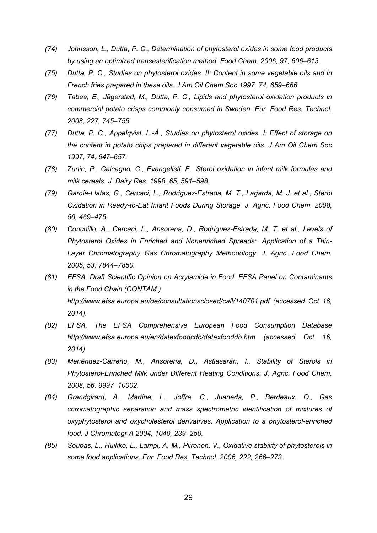- *(74) Johnsson, L., Dutta, P. C., Determination of phytosterol oxides in some food products by using an optimized transesterification method. Food Chem. 2006, 97, 606–613.*
- *(75) Dutta, P. C., Studies on phytosterol oxides. II: Content in some vegetable oils and in French fries prepared in these oils. J Am Oil Chem Soc 1997, 74, 659–666.*
- *(76) Tabee, E., Jägerstad, M., Dutta, P. C., Lipids and phytosterol oxidation products in commercial potato crisps commonly consumed in Sweden. Eur. Food Res. Technol. 2008, 227, 745–755.*
- *(77) Dutta, P. C., Appelqvist, L.-Å., Studies on phytosterol oxides. I: Effect of storage on the content in potato chips prepared in different vegetable oils. J Am Oil Chem Soc 1997, 74, 647–657.*
- *(78) Zunin, P., Calcagno, C., Evangelisti, F., Sterol oxidation in infant milk formulas and milk cereals. J. Dairy Res. 1998, 65, 591–598.*
- *(79) García-Llatas, G., Cercaci, L., Rodriguez-Estrada, M. T., Lagarda, M. J. et al., Sterol Oxidation in Ready-to-Eat Infant Foods During Storage. J. Agric. Food Chem. 2008, 56, 469–475.*
- *(80) Conchillo, A., Cercaci, L., Ansorena, D., Rodriguez-Estrada, M. T. et al., Levels of Phytosterol Oxides in Enriched and Nonenriched Spreads: Application of a Thin-Layer Chromatography−Gas Chromatography Methodology. J. Agric. Food Chem. 2005, 53, 7844–7850.*
- *(81) EFSA. Draft Scientific Opinion on Acrylamide in Food. EFSA Panel on Contaminants in the Food Chain (CONTAM ) http://www.efsa.europa.eu/de/consultationsclosed/call/140701.pdf (accessed Oct 16, 2014).*
- *(82) EFSA. The EFSA Comprehensive European Food Consumption Database http://www.efsa.europa.eu/en/datexfoodcdb/datexfooddb.htm (accessed Oct 16, 2014).*
- *(83) Menéndez-Carreño, M., Ansorena, D., Astiasarán, I., Stability of Sterols in Phytosterol-Enriched Milk under Different Heating Conditions. J. Agric. Food Chem. 2008, 56, 9997–10002.*
- *(84) Grandgirard, A., Martine, L., Joffre, C., Juaneda, P., Berdeaux, O., Gas chromatographic separation and mass spectrometric identification of mixtures of oxyphytosterol and oxycholesterol derivatives. Application to a phytosterol-enriched food. J Chromatogr A 2004, 1040, 239–250.*
- *(85) Soupas, L., Huikko, L., Lampi, A.-M., Piironen, V., Oxidative stability of phytosterols in some food applications. Eur. Food Res. Technol. 2006, 222, 266–273.*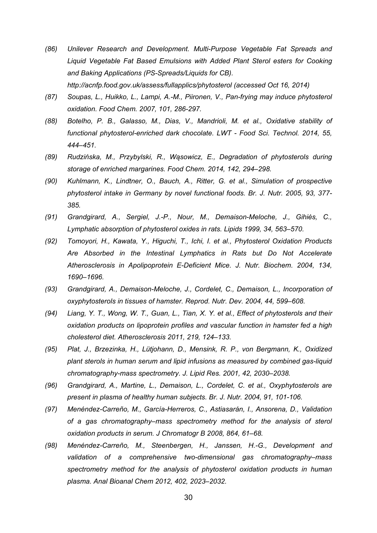- *(86) Unilever Research and Development. Multi-Purpose Vegetable Fat Spreads and Liquid Vegetable Fat Based Emulsions with Added Plant Sterol esters for Cooking and Baking Applications (PS-Spreads/Liquids for CB). http://acnfp.food.gov.uk/assess/fullapplics/phytosterol (accessed Oct 16, 2014)*
- *(87) Soupas, L., Huikko, L., Lampi, A.-M., Piironen, V., Pan-frying may induce phytosterol oxidation. Food Chem. 2007, 101, 286-297.*
- *(88) Botelho, P. B., Galasso, M., Dias, V., Mandrioli, M. et al., Oxidative stability of functional phytosterol-enriched dark chocolate. LWT - Food Sci. Technol. 2014, 55, 444–451.*
- *(89) Rudzińska, M., Przybylski, R., Wąsowicz, E., Degradation of phytosterols during storage of enriched margarines. Food Chem. 2014, 142, 294–298.*
- *(90) Kuhlmann, K., Lindtner, O., Bauch, A., Ritter, G. et al., Simulation of prospective phytosterol intake in Germany by novel functional foods. Br. J. Nutr. 2005, 93, 377- 385.*
- *(91) Grandgirard, A., Sergiel, J.-P., Nour, M., Demaison-Meloche, J., Gihiès, C., Lymphatic absorption of phytosterol oxides in rats. Lipids 1999, 34, 563–570.*
- *(92) Tomoyori, H., Kawata, Y., Higuchi, T., Ichi, I. et al., Phytosterol Oxidation Products Are Absorbed in the Intestinal Lymphatics in Rats but Do Not Accelerate Atherosclerosis in Apolipoprotein E-Deficient Mice. J. Nutr. Biochem. 2004, 134, 1690–1696.*
- *(93) Grandgirard, A., Demaison-Meloche, J., Cordelet, C., Demaison, L., Incorporation of oxyphytosterols in tissues of hamster. Reprod. Nutr. Dev. 2004, 44, 599–608.*
- *(94) Liang, Y. T., Wong, W. T., Guan, L., Tian, X. Y. et al., Effect of phytosterols and their oxidation products on lipoprotein profiles and vascular function in hamster fed a high cholesterol diet. Atherosclerosis 2011, 219, 124–133.*
- *(95) Plat, J., Brzezinka, H., Lütjohann, D., Mensink, R. P., von Bergmann, K., Oxidized plant sterols in human serum and lipid infusions as measured by combined gas-liquid chromatography-mass spectrometry. J. Lipid Res. 2001, 42, 2030–2038.*
- *(96) Grandgirard, A., Martine, L., Demaison, L., Cordelet, C. et al., Oxyphytosterols are present in plasma of healthy human subjects. Br. J. Nutr. 2004, 91, 101-106.*
- *(97) Menéndez-Carreño, M., García-Herreros, C., Astiasarán, I., Ansorena, D., Validation of a gas chromatography–mass spectrometry method for the analysis of sterol oxidation products in serum. J Chromatogr B 2008, 864, 61–68.*
- *(98) Menéndez-Carreño, M., Steenbergen, H., Janssen, H.-G., Development and validation of a comprehensive two-dimensional gas chromatography–mass spectrometry method for the analysis of phytosterol oxidation products in human plasma. Anal Bioanal Chem 2012, 402, 2023–2032.*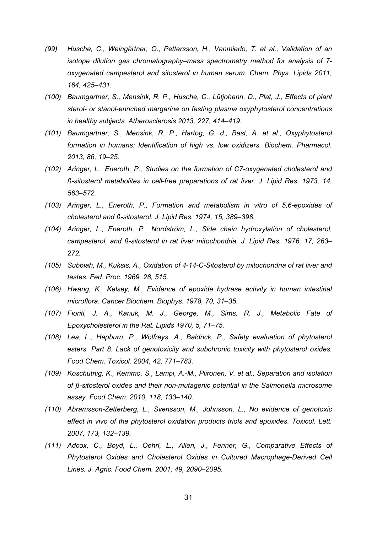- *(99) Husche, C., Weingärtner, O., Pettersson, H., Vanmierlo, T. et al., Validation of an isotope dilution gas chromatography–mass spectrometry method for analysis of 7 oxygenated campesterol and sitosterol in human serum. Chem. Phys. Lipids 2011, 164, 425–431.*
- *(100) Baumgartner, S., Mensink, R. P., Husche, C., Lütjohann, D., Plat, J., Effects of plant sterol- or stanol-enriched margarine on fasting plasma oxyphytosterol concentrations in healthy subjects. Atherosclerosis 2013, 227, 414–419.*
- *(101) Baumgartner, S., Mensink, R. P., Hartog, G. d., Bast, A. et al., Oxyphytosterol formation in humans: Identification of high vs. low oxidizers. Biochem. Pharmacol. 2013, 86, 19–25.*
- *(102) Aringer, L., Eneroth, P., Studies on the formation of C7-oxygenated cholesterol and ß-sitosterol metabolites in cell-free preparations of rat liver. J. Lipid Res. 1973, 14, 563–572.*
- *(103) Aringer, L., Eneroth, P., Formation and metabolism in vitro of 5,6-epoxides of cholesterol and ß-sitosterol. J. Lipid Res. 1974, 15, 389–398.*
- *(104) Aringer, L., Eneroth, P., Nordström, L., Side chain hydroxylation of cholesterol, campesterol, and ß-sitosterol in rat liver mitochondria. J. Lipid Res. 1976, 17, 263– 272.*
- *(105) Subbiah, M., Kuksis, A., Oxidation of 4-14-C-Sitosterol by mitochondria of rat liver and testes. Fed. Proc. 1969, 28, 515.*
- *(106) Hwang, K., Kelsey, M., Evidence of epoxide hydrase activity in human intestinal microflora. Cancer Biochem. Biophys. 1978, 70, 31–35.*
- *(107) Fioriti, J. A., Kanuk, M. J., George, M., Sims, R. J., Metabolic Fate of Epoxycholesterol in the Rat. Lipids 1970, 5, 71–75.*
- *(108) Lea, L., Hepburn, P., Wolfreys, A., Baldrick, P., Safety evaluation of phytosterol esters. Part 8. Lack of genotoxicity and subchronic toxicity with phytosterol oxides. Food Chem. Toxicol. 2004, 42, 771–783.*
- *(109) Koschutnig, K., Kemmo, S., Lampi, A.-M., Piironen, V. et al., Separation and isolation of β-sitosterol oxides and their non-mutagenic potential in the Salmonella microsome assay. Food Chem. 2010, 118, 133–140.*
- *(110) Abramsson-Zetterberg, L., Svensson, M., Johnsson, L., No evidence of genotoxic effect in vivo of the phytosterol oxidation products triols and epoxides. Toxicol. Lett. 2007, 173, 132–139.*
- *(111) Adcox, C., Boyd, L., Oehrl, L., Allen, J., Fenner, G., Comparative Effects of Phytosterol Oxides and Cholesterol Oxides in Cultured Macrophage-Derived Cell Lines. J. Agric. Food Chem. 2001, 49, 2090–2095.*